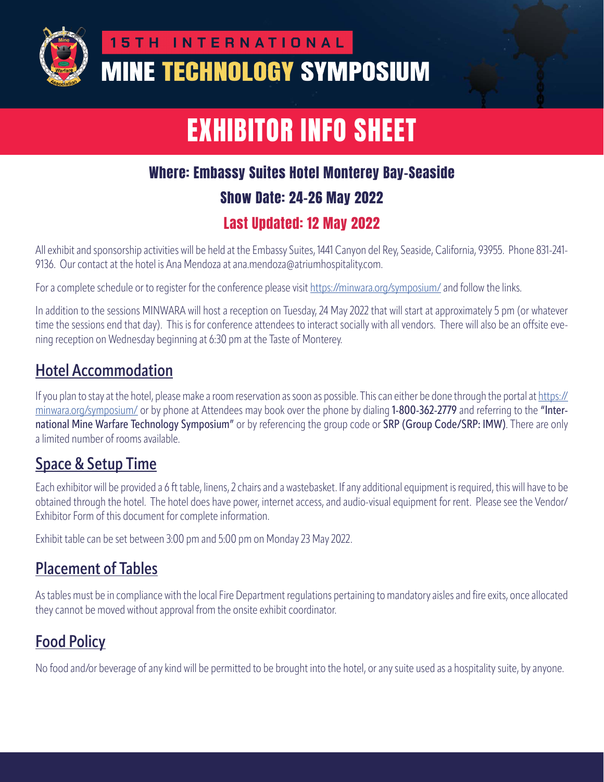

# **15TH INTERNATIONAL MINE TECHNOLOGY SYMPOSIUM**

# EXHIBITOR INFO SHEET

# Where: Embassy Suites Hotel Monterey Bay-Seaside

#### Show Date: 24-26 May 2022

#### Last Updated: 12 May 2022

All exhibit and sponsorship activities will be held at the Embassy Suites, 1441 Canyon del Rey, Seaside, California, 93955. Phone 831-241- 9136. Our contact at the hotel is Ana Mendoza at ana.mendoza@atriumhospitality.com.

For a complete schedule or to register for the conference please visit https://minwara.org/symposium/ and follow the links.

In addition to the sessions MINWARA will host a reception on Tuesday, 24 May 2022 that will start at approximately 5 pm (or whatever time the sessions end that day). This is for conference attendees to interact socially with all vendors. There will also be an offsite evening reception on Wednesday beginning at 6:30 pm at the Taste of Monterey.

## **Hotel Accommodation**

If you plan to stay at the hotel, please make a room reservation as soon as possible. This can either be done through the portal at https:// minwara.org/symposium/ or by phone at Attendees may book over the phone by dialing 1-800-362-2779 and referring to the "International Mine Warfare Technology Symposium" or by referencing the group code or SRP (Group Code/SRP: IMW). There are only a limited number of rooms available.

#### **Space & Setup Time**

Each exhibitor will be provided a 6 ft table, linens, 2 chairs and a wastebasket. If any additional equipment is required, this will have to be obtained through the hotel. The hotel does have power, internet access, and audio-visual equipment for rent. Please see the Vendor/ Exhibitor Form of this document for complete information.

Exhibit table can be set between 3:00 pm and 5:00 pm on Monday 23 May 2022.

## **Placement of Tables**

As tables must be in compliance with the local Fire Department regulations pertaining to mandatory aisles and fire exits, once allocated they cannot be moved without approval from the onsite exhibit coordinator.

# **Food Policy**

No food and/or beverage of any kind will be permitted to be brought into the hotel, or any suite used as a hospitality suite, by anyone.